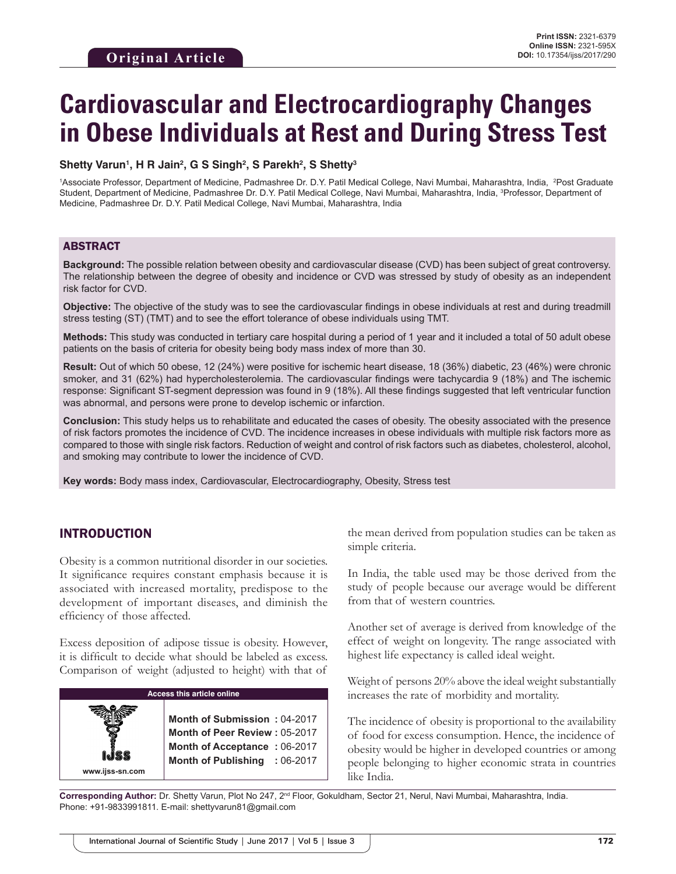# **Cardiovascular and Electrocardiography Changes in Obese Individuals at Rest and During Stress Test**

#### **Shetty Varun1 , H R Jain2 , G S Singh2 , S Parekh2 , S Shetty3**

<sup>1</sup>Associate Professor, Department of Medicine, Padmashree Dr. D.Y. Patil Medical College, Navi Mumbai, Maharashtra, India, <sup>2</sup>Post Graduate Student, Department of Medicine, Padmashree Dr. D.Y. Patil Medical College, Navi Mumbai, Maharashtra, India, <sup>3</sup>Professor, Department of Medicine, Padmashree Dr. D.Y. Patil Medical College, Navi Mumbai, Maharashtra, India

# ABSTRACT

**Background:** The possible relation between obesity and cardiovascular disease (CVD) has been subject of great controversy. The relationship between the degree of obesity and incidence or CVD was stressed by study of obesity as an independent risk factor for CVD.

**Objective:** The objective of the study was to see the cardiovascular findings in obese individuals at rest and during treadmill stress testing (ST) (TMT) and to see the effort tolerance of obese individuals using TMT.

**Methods:** This study was conducted in tertiary care hospital during a period of 1 year and it included a total of 50 adult obese patients on the basis of criteria for obesity being body mass index of more than 30.

**Result:** Out of which 50 obese, 12 (24%) were positive for ischemic heart disease, 18 (36%) diabetic, 23 (46%) were chronic smoker, and 31 (62%) had hypercholesterolemia. The cardiovascular findings were tachycardia 9 (18%) and The ischemic response: Significant ST-segment depression was found in 9 (18%). All these findings suggested that left ventricular function was abnormal, and persons were prone to develop ischemic or infarction.

**Conclusion:** This study helps us to rehabilitate and educated the cases of obesity. The obesity associated with the presence of risk factors promotes the incidence of CVD. The incidence increases in obese individuals with multiple risk factors more as compared to those with single risk factors. Reduction of weight and control of risk factors such as diabetes, cholesterol, alcohol, and smoking may contribute to lower the incidence of CVD.

**Key words:** Body mass index, Cardiovascular, Electrocardiography, Obesity, Stress test

# INTRODUCTION

Obesity is a common nutritional disorder in our societies. It significance requires constant emphasis because it is associated with increased mortality, predispose to the development of important diseases, and diminish the efficiency of those affected.

Excess deposition of adipose tissue is obesity. However, it is difficult to decide what should be labeled as excess. Comparison of weight (adjusted to height) with that of

| <b>Access this article online</b>                                                                                                                        |  |  |
|----------------------------------------------------------------------------------------------------------------------------------------------------------|--|--|
| Month of Submission: 04-2017<br><b>Month of Peer Review: 05-2017</b><br>Month of Acceptance: 06-2017<br>Month of Publishing : 06-2017<br>www.ijss-sn.com |  |  |

the mean derived from population studies can be taken as simple criteria.

In India, the table used may be those derived from the study of people because our average would be different from that of western countries.

Another set of average is derived from knowledge of the effect of weight on longevity. The range associated with highest life expectancy is called ideal weight.

Weight of persons 20% above the ideal weight substantially increases the rate of morbidity and mortality.

The incidence of obesity is proportional to the availability of food for excess consumption. Hence, the incidence of obesity would be higher in developed countries or among people belonging to higher economic strata in countries like India.

**Corresponding Author:** Dr. Shetty Varun, Plot No 247, 2nd Floor, Gokuldham, Sector 21, Nerul, Navi Mumbai, Maharashtra, India. Phone: +91-9833991811. E-mail: shettyvarun81@gmail.com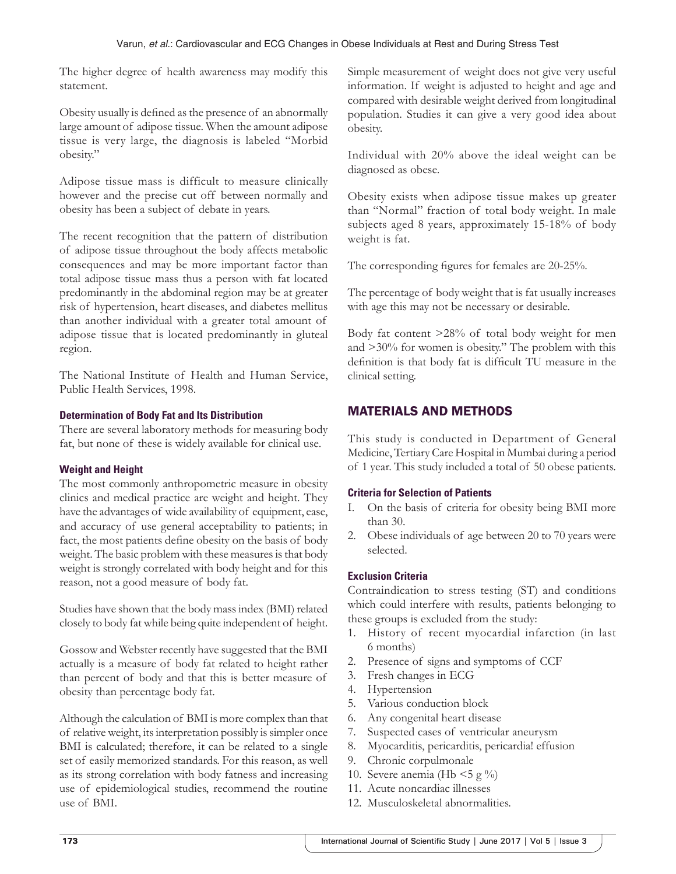The higher degree of health awareness may modify this statement.

Obesity usually is defined as the presence of an abnormally large amount of adipose tissue. When the amount adipose tissue is very large, the diagnosis is labeled "Morbid obesity."

Adipose tissue mass is difficult to measure clinically however and the precise cut off between normally and obesity has been a subject of debate in years.

The recent recognition that the pattern of distribution of adipose tissue throughout the body affects metabolic consequences and may be more important factor than total adipose tissue mass thus a person with fat located predominantly in the abdominal region may be at greater risk of hypertension, heart diseases, and diabetes mellitus than another individual with a greater total amount of adipose tissue that is located predominantly in gluteal region.

The National Institute of Health and Human Service, Public Health Services, 1998.

# **Determination of Body Fat and Its Distribution**

There are several laboratory methods for measuring body fat, but none of these is widely available for clinical use.

# **Weight and Height**

The most commonly anthropometric measure in obesity clinics and medical practice are weight and height. They have the advantages of wide availability of equipment, ease, and accuracy of use general acceptability to patients; in fact, the most patients define obesity on the basis of body weight. The basic problem with these measures is that body weight is strongly correlated with body height and for this reason, not a good measure of body fat.

Studies have shown that the body mass index (BMI) related closely to body fat while being quite independent of height.

Gossow and Webster recently have suggested that the BMI actually is a measure of body fat related to height rather than percent of body and that this is better measure of obesity than percentage body fat.

Although the calculation of BMI is more complex than that of relative weight, its interpretation possibly is simpler once BMI is calculated; therefore, it can be related to a single set of easily memorized standards. For this reason, as well as its strong correlation with body fatness and increasing use of epidemiological studies, recommend the routine use of BMI.

Simple measurement of weight does not give very useful information. If weight is adjusted to height and age and compared with desirable weight derived from longitudinal population. Studies it can give a very good idea about obesity.

Individual with 20% above the ideal weight can be diagnosed as obese.

Obesity exists when adipose tissue makes up greater than "Normal" fraction of total body weight. In male subjects aged 8 years, approximately 15-18% of body weight is fat.

The corresponding figures for females are 20-25%.

The percentage of body weight that is fat usually increases with age this may not be necessary or desirable.

Body fat content >28% of total body weight for men and >30% for women is obesity." The problem with this definition is that body fat is difficult TU measure in the clinical setting.

# MATERIALS AND METHODS

This study is conducted in Department of General Medicine, Tertiary Care Hospital in Mumbai during a period of 1 year. This study included a total of 50 obese patients.

# **Criteria for Selection of Patients**

- I. On the basis of criteria for obesity being BMI more than 30.
- 2. Obese individuals of age between 20 to 70 years were selected.

# **Exclusion Criteria**

Contraindication to stress testing (ST) and conditions which could interfere with results, patients belonging to these groups is excluded from the study:

- 1. History of recent myocardial infarction (in last 6 months)
- 2. Presence of signs and symptoms of CCF
- 3. Fresh changes in ECG
- 4. Hypertension
- 5. Various conduction block
- 6. Any congenital heart disease
- 7. Suspected cases of ventricular aneurysm
- 8. Myocarditis, pericarditis, pericardia! effusion
- 9. Chronic corpulmonale
- 10. Severe anemia (Hb  $\leq$  5 g  $\%$ )
- 11. Acute noncardiac illnesses
- 12. Musculoskeletal abnormalities.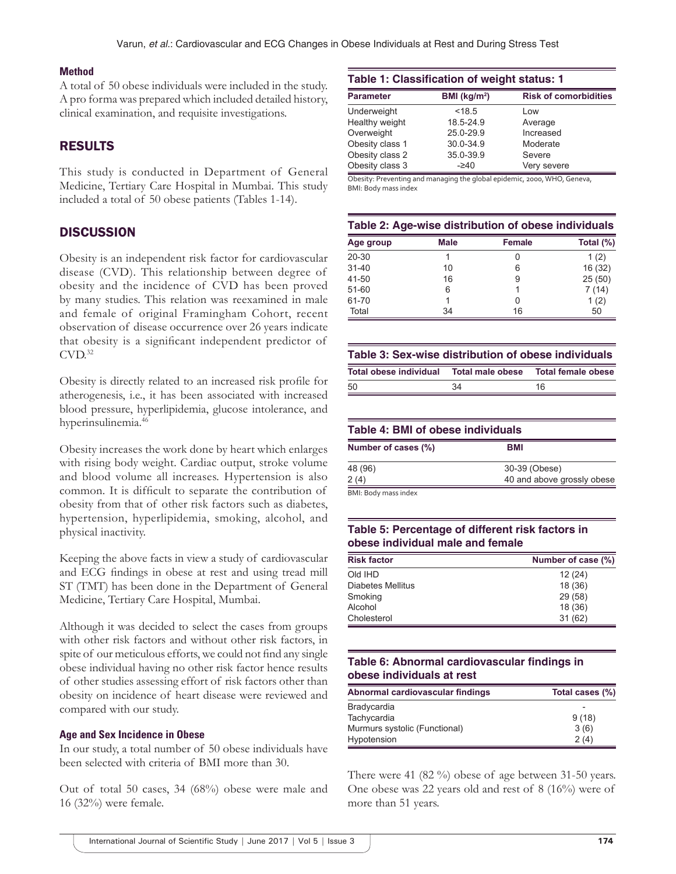#### **Method**

A total of 50 obese individuals were included in the study. A pro forma was prepared which included detailed history, clinical examination, and requisite investigations.

# RESULTS

This study is conducted in Department of General Medicine, Tertiary Care Hospital in Mumbai. This study included a total of 50 obese patients (Tables 1-14).

# **DISCUSSION**

Obesity is an independent risk factor for cardiovascular disease (CVD). This relationship between degree of obesity and the incidence of CVD has been proved by many studies. This relation was reexamined in male and female of original Framingham Cohort, recent observation of disease occurrence over 26 years indicate that obesity is a significant independent predictor of  $CVD.<sup>32</sup>$ 

Obesity is directly related to an increased risk profile for atherogenesis, i.e., it has been associated with increased blood pressure, hyperlipidemia, glucose intolerance, and hyperinsulinemia.46

Obesity increases the work done by heart which enlarges with rising body weight. Cardiac output, stroke volume and blood volume all increases. Hypertension is also common. It is difficult to separate the contribution of obesity from that of other risk factors such as diabetes, hypertension, hyperlipidemia, smoking, alcohol, and physical inactivity.

Keeping the above facts in view a study of cardiovascular and ECG findings in obese at rest and using tread mill ST (TMT) has been done in the Department of General Medicine, Tertiary Care Hospital, Mumbai.

Although it was decided to select the cases from groups with other risk factors and without other risk factors, in spite of our meticulous efforts, we could not find any single obese individual having no other risk factor hence results of other studies assessing effort of risk factors other than obesity on incidence of heart disease were reviewed and compared with our study.

#### **Age and Sex Incidence in Obese**

In our study, a total number of 50 obese individuals have been selected with criteria of BMI more than 30.

Out of total 50 cases, 34 (68%) obese were male and 16 (32%) were female.

| Table 1: Classification of weight status: 1 |                              |  |  |
|---------------------------------------------|------------------------------|--|--|
| BMI ( $kg/m2$ )                             | <b>Risk of comorbidities</b> |  |  |
| < 18.5                                      | Low                          |  |  |
| 18.5-24.9                                   | Average                      |  |  |
| 25.0-29.9                                   | Increased                    |  |  |
| 30.0-34.9                                   | Moderate                     |  |  |
| 35.0-39.9                                   | Severe                       |  |  |
| $-240$                                      | Very severe                  |  |  |
|                                             |                              |  |  |

Obesity: Preventing and managing the global epidemic, 2000, WHO, Geneva, BMI: Body mass index

#### **Table 2: Age‑wise distribution of obese individuals**

| Age group | <b>Male</b> | <b>Female</b> | Total (%) |
|-----------|-------------|---------------|-----------|
| 20-30     |             |               | 1(2)      |
| $31 - 40$ | 10          | 6             | 16 (32)   |
| 41-50     | 16          | 9             | 25(50)    |
| $51 - 60$ | 6           |               | 7(14)     |
| 61-70     |             | Ω             | 1(2)      |
| Total     | 34          | 16            | 50        |

#### **Table 3: Sex‑wise distribution of obese individuals**

| Total obese individual |    |    |
|------------------------|----|----|
| .50                    | 34 | 16 |

#### **Table 4: BMI of obese individuals**

| Number of cases (%) | <b>BMI</b>                 |
|---------------------|----------------------------|
| 48 (96)             | 30-39 (Obese)              |
| 2 (4)               | 40 and above grossly obese |
| RMI. Rody marcinday |                            |

BMI: Body mass index

# **Table 5: Percentage of different risk factors in obese individual male and female**

| <b>Risk factor</b> | Number of case (%) |
|--------------------|--------------------|
| Old IHD            | 12(24)             |
| Diabetes Mellitus  | 18 (36)            |
| Smoking            | 29(58)             |
| Alcohol            | 18 (36)            |
| Cholesterol        | 31(62)             |

# **Table 6: Abnormal cardiovascular findings in obese individuals at rest**

| Abnormal cardiovascular findings | Total cases (%) |
|----------------------------------|-----------------|
| Bradycardia                      |                 |
| Tachycardia                      | 9(18)           |
| Murmurs systolic (Functional)    | 3(6)            |
| Hypotension                      | 2(4)            |

There were 41 (82 %) obese of age between 31-50 years. One obese was 22 years old and rest of 8 (16%) were of more than 51 years.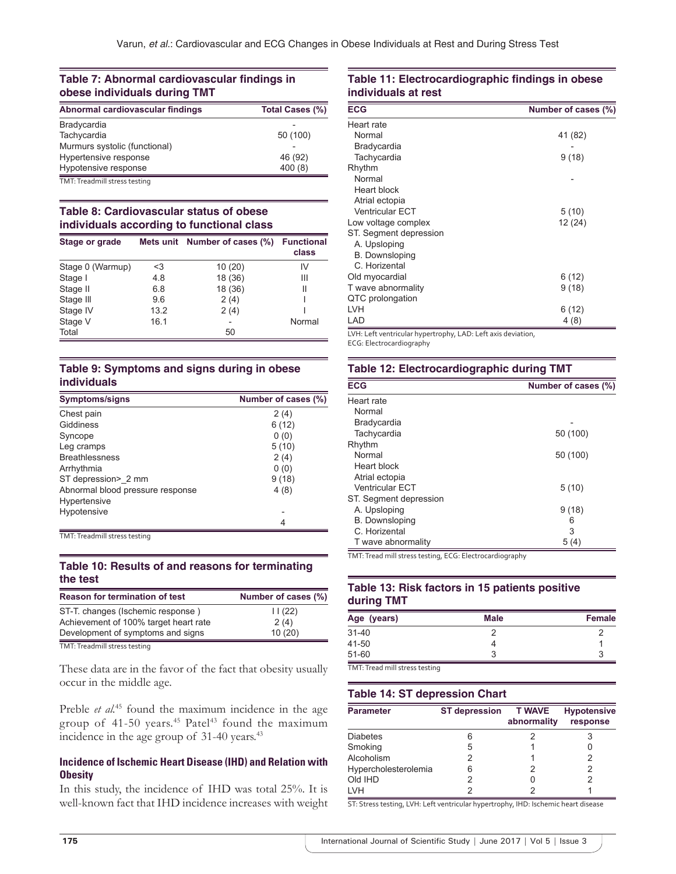#### **Table 7: Abnormal cardiovascular findings in obese individuals during TMT**

| Abnormal cardiovascular findings | Total Cases (%) |
|----------------------------------|-----------------|
| Bradycardia                      |                 |
| Tachycardia                      | 50 (100)        |
| Murmurs systolic (functional)    |                 |
| Hypertensive response            | 46 (92)         |
| Hypotensive response             | 400(8)          |
| TMT: Treadmill stress testing    |                 |

#### **Table 8: Cardiovascular status of obese individuals according to functional class**

| Stage or grade   |      | Mets unit Number of cases (%) | <b>Functional</b><br>class |
|------------------|------|-------------------------------|----------------------------|
| Stage 0 (Warmup) | <3   | 10(20)                        | IV                         |
| Stage I          | 4.8  | 18 (36)                       | Ш                          |
| Stage II         | 6.8  | 18 (36)                       | Ш                          |
| Stage III        | 9.6  | 2(4)                          |                            |
| Stage IV         | 13.2 | 2(4)                          |                            |
| Stage V          | 16.1 |                               | Normal                     |
| Total            |      | 50                            |                            |

#### **Table 9: Symptoms and signs during in obese individuals**

| <b>Symptoms/signs</b>            | Number of cases (%) |
|----------------------------------|---------------------|
| Chest pain                       | 2(4)                |
| Giddiness                        | 6(12)               |
| Syncope                          | 0(0)                |
| Leg cramps                       | 5(10)               |
| <b>Breathlessness</b>            | 2(4)                |
| Arrhythmia                       | 0(0)                |
| ST depression> 2 mm              | 9(18)               |
| Abnormal blood pressure response | 4(8)                |
| Hypertensive                     |                     |
| Hypotensive                      |                     |
|                                  | 4                   |

TMT: Treadmill stress testing

#### **Table 10: Results of and reasons for terminating the test**

| <b>Reason for termination of test</b> | Number of cases (%) |
|---------------------------------------|---------------------|
| ST-T. changes (Ischemic response)     | 11(22)              |
| Achievement of 100% target heart rate | 2(4)                |
| Development of symptoms and signs     | 10(20)              |
| TMT: Treadmill stress testing         |                     |

These data are in the favor of the fact that obesity usually occur in the middle age.

Preble *et al.*<sup>45</sup> found the maximum incidence in the age group of  $41-50$  years.<sup>45</sup> Patel<sup>43</sup> found the maximum incidence in the age group of 31-40 years.<sup>43</sup>

# **Incidence of Ischemic Heart Disease (IHD) and Relation with Obesity**

In this study, the incidence of IHD was total 25%. It is well-known fact that IHD incidence increases with weight

### **Table 11: Electrocardiographic findings in obese individuals at rest**

| <b>ECG</b>             | Number of cases (%) |
|------------------------|---------------------|
| Heart rate             |                     |
| Normal                 | 41 (82)             |
| Bradycardia            |                     |
| Tachycardia            | 9(18)               |
| Rhythm                 |                     |
| Normal                 |                     |
| <b>Heart block</b>     |                     |
| Atrial ectopia         |                     |
| <b>Ventricular ECT</b> | 5(10)               |
| Low voltage complex    | 12 (24)             |
| ST. Segment depression |                     |
| A. Upsloping           |                     |
| <b>B.</b> Downsloping  |                     |
| C. Horizental          |                     |
| Old myocardial         | 6(12)               |
| T wave abnormality     | 9(18)               |
| QTC prolongation       |                     |
| <b>LVH</b>             | 6(12)               |
| LAD                    | 4 (8)               |

LVH: Left ventricular hypertrophy, LAD: Left axis deviation,

ECG: Electrocardiography

#### **Table 12: Electrocardiographic during TMT**

| <b>ECG</b><br>Number of cases (%) |          |
|-----------------------------------|----------|
| Heart rate                        |          |
| Normal                            |          |
| Bradycardia                       |          |
| Tachycardia                       | 50 (100) |
| Rhythm                            |          |
| Normal                            | 50 (100) |
| Heart block                       |          |
| Atrial ectopia                    |          |
| <b>Ventricular ECT</b>            | 5(10)    |
| ST. Segment depression            |          |
| A. Upsloping                      | 9(18)    |
| <b>B.</b> Downsloping             | 6        |
| C. Horizental                     | 3        |
| T wave abnormality                | 5(4)     |

TMT: Tread mill stress testing, ECG: Electrocardiography

#### **Table 13: Risk factors in 15 patients positive during TMT**

| Age (years)                    | <b>Male</b> | <b>Female</b> |
|--------------------------------|-------------|---------------|
| $31 - 40$                      |             |               |
| 41-50                          |             |               |
| 51-60                          | 3           | я             |
| TMT: Tread mill stress testing |             |               |

#### **Table 14: ST depression Chart**

| <b>Parameter</b>     | <b>ST</b> depression | <b>T WAVE</b><br>abnormality | <b>Hypotensive</b><br>response |
|----------------------|----------------------|------------------------------|--------------------------------|
| <b>Diabetes</b>      | 6                    |                              |                                |
| Smoking              | 5                    |                              |                                |
| Alcoholism           | 2                    |                              |                                |
| Hypercholesterolemia | 6                    |                              |                                |
| Old IHD              | 2                    |                              |                                |
| I VH                 |                      |                              |                                |

ST: Stress testing, LVH: Left ventricular hypertrophy, IHD: Ischemic heart disease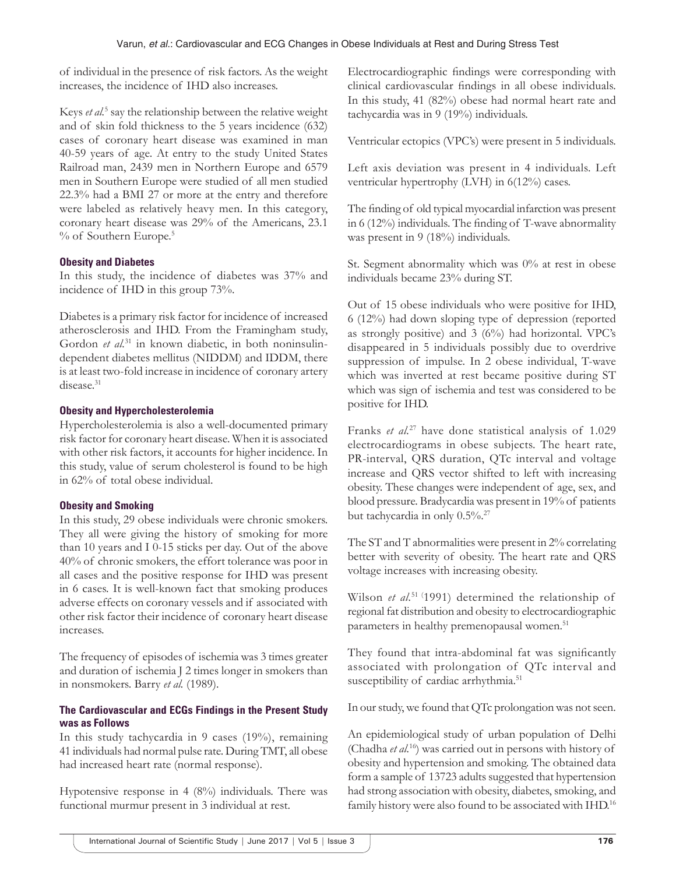of individual in the presence of risk factors. As the weight increases, the incidence of IHD also increases.

Keys et al.<sup>5</sup> say the relationship between the relative weight and of skin fold thickness to the 5 years incidence (632) cases of coronary heart disease was examined in man 40-59 years of age. At entry to the study United States Railroad man, 2439 men in Northern Europe and 6579 men in Southern Europe were studied of all men studied 22.3% had a BMI 27 or more at the entry and therefore were labeled as relatively heavy men. In this category, coronary heart disease was 29% of the Americans, 23.1 % of Southern Europe.<sup>5</sup>

# **Obesity and Diabetes**

In this study, the incidence of diabetes was 37% and incidence of IHD in this group 73%.

Diabetes is a primary risk factor for incidence of increased atherosclerosis and IHD. From the Framingham study, Gordon et al.<sup>31</sup> in known diabetic, in both noninsulindependent diabetes mellitus (NIDDM) and IDDM, there is at least two-fold increase in incidence of coronary artery disease.<sup>31</sup>

# **Obesity and Hypercholesterolemia**

Hypercholesterolemia is also a well-documented primary risk factor for coronary heart disease. When it is associated with other risk factors, it accounts for higher incidence. In this study, value of serum cholesterol is found to be high in 62% of total obese individual.

# **Obesity and Smoking**

In this study, 29 obese individuals were chronic smokers. They all were giving the history of smoking for more than 10 years and I 0-15 sticks per day. Out of the above 40% of chronic smokers, the effort tolerance was poor in all cases and the positive response for IHD was present in 6 cases. It is well-known fact that smoking produces adverse effects on coronary vessels and if associated with other risk factor their incidence of coronary heart disease increases.

The frequency of episodes of ischemia was 3 times greater and duration of ischemia J 2 times longer in smokers than in nonsmokers. Barry *et al.* (1989).

# **The Cardiovascular and ECGs Findings in the Present Study was as Follows**

In this study tachycardia in 9 cases (19%), remaining 41 individuals had normal pulse rate. During TMT, all obese had increased heart rate (normal response).

Hypotensive response in 4 (8%) individuals. There was functional murmur present in 3 individual at rest.

Electrocardiographic findings were corresponding with clinical cardiovascular findings in all obese individuals. In this study, 41 (82%) obese had normal heart rate and tachycardia was in 9 (19%) individuals.

Ventricular ectopics (VPC's) were present in 5 individuals.

Left axis deviation was present in 4 individuals. Left ventricular hypertrophy (LVH) in 6(12%) cases.

The finding of old typical myocardial infarction was present in 6 (12%) individuals. The finding of T-wave abnormality was present in 9 (18%) individuals.

St. Segment abnormality which was 0% at rest in obese individuals became 23% during ST.

Out of 15 obese individuals who were positive for IHD, 6 (12%) had down sloping type of depression (reported as strongly positive) and 3 (6%) had horizontal. VPC's disappeared in 5 individuals possibly due to overdrive suppression of impulse. In 2 obese individual, T-wave which was inverted at rest became positive during ST which was sign of ischemia and test was considered to be positive for IHD.

Franks *et al.*27 have done statistical analysis of 1.029 electrocardiograms in obese subjects. The heart rate, PR-interval, QRS duration, QTc interval and voltage increase and QRS vector shifted to left with increasing obesity. These changes were independent of age, sex, and blood pressure. Bradycardia was present in 19% of patients but tachycardia in only 0.5%.<sup>27</sup>

The ST and T abnormalities were present in 2% correlating better with severity of obesity. The heart rate and QRS voltage increases with increasing obesity.

Wilson *et al.*<sup>51 (1991) determined the relationship of</sup> regional fat distribution and obesity to electrocardiographic parameters in healthy premenopausal women.<sup>51</sup>

They found that intra-abdominal fat was significantly associated with prolongation of QTc interval and susceptibility of cardiac arrhythmia.<sup>51</sup>

In our study, we found that QTc prolongation was not seen.

An epidemiological study of urban population of Delhi (Chadha *et al.*16) was carried out in persons with history of obesity and hypertension and smoking. The obtained data form a sample of 13723 adults suggested that hypertension had strong association with obesity, diabetes, smoking, and family history were also found to be associated with IHD.<sup>16</sup>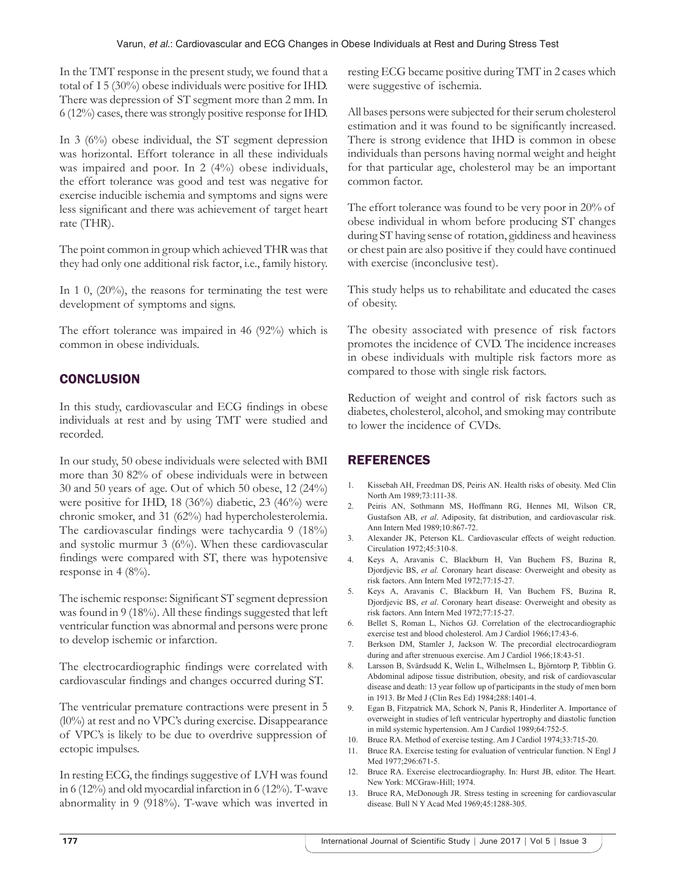In the TMT response in the present study, we found that a total of I 5 (30%) obese individuals were positive for IHD. There was depression of ST segment more than 2 mm. In 6 (12%) cases, there was strongly positive response for IHD.

In 3 (6%) obese individual, the ST segment depression was horizontal. Effort tolerance in all these individuals was impaired and poor. In 2 (4%) obese individuals, the effort tolerance was good and test was negative for exercise inducible ischemia and symptoms and signs were less significant and there was achievement of target heart rate (THR).

The point common in group which achieved THR was that they had only one additional risk factor, i.e., family history.

In 1 0, (20%), the reasons for terminating the test were development of symptoms and signs.

The effort tolerance was impaired in 46 (92%) which is common in obese individuals.

# **CONCLUSION**

In this study, cardiovascular and ECG findings in obese individuals at rest and by using TMT were studied and recorded.

In our study, 50 obese individuals were selected with BMI more than 30 82% of obese individuals were in between 30 and 50 years of age. Out of which 50 obese, 12 (24%) were positive for IHD, 18 (36%) diabetic, 23 (46%) were chronic smoker, and 31 (62%) had hypercholesterolemia. The cardiovascular findings were tachycardia 9 (18%) and systolic murmur 3 (6%). When these cardiovascular findings were compared with ST, there was hypotensive response in  $4 (8\%)$ .

The ischemic response: Significant ST segment depression was found in 9 (18%). All these findings suggested that left ventricular function was abnormal and persons were prone to develop ischemic or infarction.

The electrocardiographic findings were correlated with cardiovascular findings and changes occurred during ST.

The ventricular premature contractions were present in 5 (l0%) at rest and no VPC's during exercise. Disappearance of VPC's is likely to be due to overdrive suppression of ectopic impulses.

In resting ECG, the findings suggestive of LVH was found in 6 (12%) and old myocardial infarction in 6 (12%). T-wave abnormality in 9 (918%). T-wave which was inverted in resting ECG became positive during TMT in 2 cases which were suggestive of ischemia.

All bases persons were subjected for their serum cholesterol estimation and it was found to be significantly increased. There is strong evidence that IHD is common in obese individuals than persons having normal weight and height for that particular age, cholesterol may be an important common factor.

The effort tolerance was found to be very poor in 20% of obese individual in whom before producing ST changes during ST having sense of rotation, giddiness and heaviness or chest pain are also positive if they could have continued with exercise (inconclusive test).

This study helps us to rehabilitate and educated the cases of obesity.

The obesity associated with presence of risk factors promotes the incidence of CVD. The incidence increases in obese individuals with multiple risk factors more as compared to those with single risk factors.

Reduction of weight and control of risk factors such as diabetes, cholesterol, alcohol, and smoking may contribute to lower the incidence of CVDs.

# **REFERENCES**

- 1. Kissebah AH, Freedman DS, Peiris AN. Health risks of obesity. Med Clin North Am 1989;73:111-38.
- 2. Peiris AN, Sothmann MS, Hoffmann RG, Hennes MI, Wilson CR, Gustafson AB, *et al*. Adiposity, fat distribution, and cardiovascular risk. Ann Intern Med 1989;10:867-72.
- 3. Alexander JK, Peterson KL. Cardiovascular effects of weight reduction. Circulation 1972;45:310-8.
- 4. Keys A, Aravanis C, Blackburn H, Van Buchem FS, Buzina R, Djordjevic BS, *et al.* Coronary heart disease: Overweight and obesity as risk factors. Ann Intern Med 1972;77:15-27.
- 5. Keys A, Aravanis C, Blackburn H, Van Buchem FS, Buzina R, Djordjevic BS, *et al*. Coronary heart disease: Overweight and obesity as risk factors. Ann Intern Med 1972;77:15-27.
- 6. Bellet S, Roman L, Nichos GJ. Correlation of the electrocardiographic exercise test and blood cholesterol. Am J Cardiol 1966;17:43-6.
- 7. Berkson DM, Stamler J, Jackson W. The precordial electrocardiogram during and after strenuous exercise. Am J Cardiol 1966;18:43-51.
- 8. Larsson B, Svärdsudd K, Welin L, Wilhelmsen L, Björntorp P, Tibblin G. Abdominal adipose tissue distribution, obesity, and risk of cardiovascular disease and death: 13 year follow up of participants in the study of men born in 1913. Br Med J (Clin Res Ed) 1984;288:1401-4.
- 9. Egan B, Fitzpatrick MA, Schork N, Panis R, Hinderliter A. Importance of overweight in studies of left ventricular hypertrophy and diastolic function in mild systemic hypertension. Am J Cardiol 1989;64:752-5.
- 10. Bruce RA. Method of exercise testing. Am J Cardiol 1974;33:715-20.
- 11. Bruce RA. Exercise testing for evaluation of ventricular function. N Engl J Med 1977;296:671-5.
- 12. Bruce RA. Exercise electrocardiography. In: Hurst JB, editor. The Heart. New York: MCGraw-Hill; 1974.
- 13. Bruce RA, MeDonough JR. Stress testing in screening for cardiovascular disease. Bull N Y Acad Med 1969;45:1288-305.